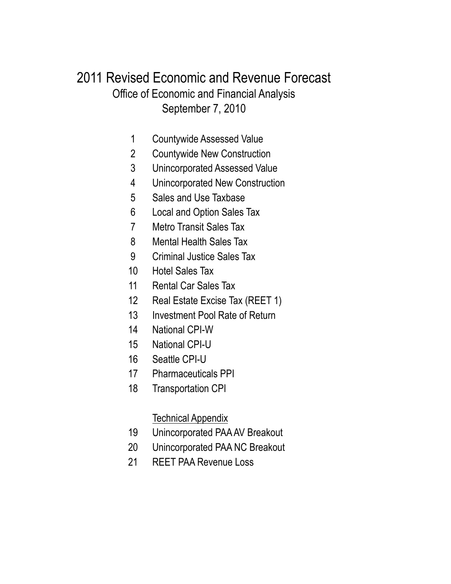### September 7, 2010 Office of Economic and Financial Analysis 2011 Revised Economic and Revenue Forecast

- Countywide Assessed Value
- Countywide New Construction
- Unincorporated Assessed Value
- Unincorporated New Construction
- Sales and Use Taxbase
- Local and Option Sales Tax
- Metro Transit Sales Tax
- Mental Health Sales Tax
- Criminal Justice Sales Tax
- Hotel Sales Tax
- Rental Car Sales Tax
- Real Estate Excise Tax (REET 1)
- Investment Pool Rate of Return
- National CPI-W
- National CPI-U
- Seattle CPI-U
- Pharmaceuticals PPI
- Transportation CPI

#### Technical Appendix

- Unincorporated PAA AV Breakout
- Unincorporated PAA NC Breakout
- REET PAA Revenue Loss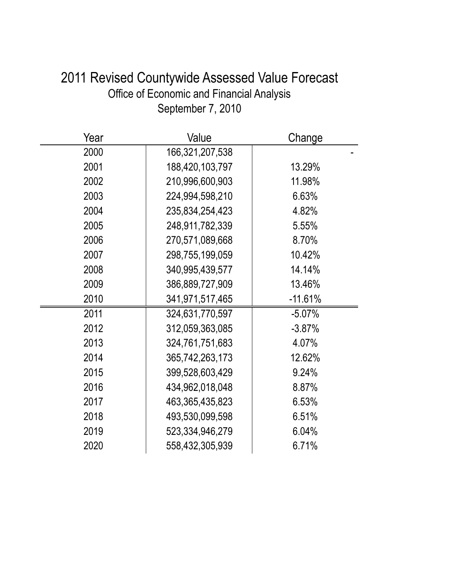| 2011 Revised Countywide Assessed Value Forecast |
|-------------------------------------------------|
| Office of Economic and Financial Analysis       |
| September 7, 2010                               |
|                                                 |

| Year | Value           | Change    |
|------|-----------------|-----------|
| 2000 | 166,321,207,538 |           |
| 2001 | 188,420,103,797 | 13.29%    |
| 2002 | 210,996,600,903 | 11.98%    |
| 2003 | 224,994,598,210 | 6.63%     |
| 2004 | 235,834,254,423 | 4.82%     |
| 2005 | 248,911,782,339 | 5.55%     |
| 2006 | 270,571,089,668 | 8.70%     |
| 2007 | 298,755,199,059 | 10.42%    |
| 2008 | 340,995,439,577 | 14.14%    |
| 2009 | 386,889,727,909 | 13.46%    |
| 2010 | 341,971,517,465 | $-11.61%$ |
| 2011 | 324,631,770,597 | $-5.07%$  |
| 2012 | 312,059,363,085 | $-3.87%$  |
| 2013 | 324,761,751,683 | 4.07%     |
| 2014 | 365,742,263,173 | 12.62%    |
| 2015 | 399,528,603,429 | 9.24%     |
| 2016 | 434,962,018,048 | 8.87%     |
| 2017 | 463,365,435,823 | 6.53%     |
| 2018 | 493,530,099,598 | 6.51%     |
| 2019 | 523,334,946,279 | 6.04%     |
| 2020 | 558,432,305,939 | 6.71%     |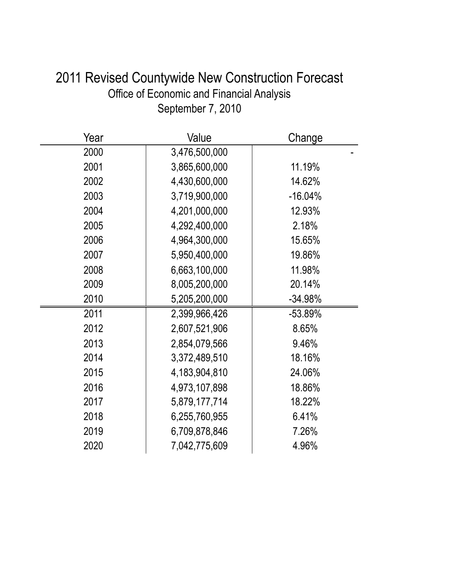| 2011 Revised Countywide New Construction Forecast |
|---------------------------------------------------|
| <b>Office of Economic and Financial Analysis</b>  |
| September 7, 2010                                 |

| Year | Value         | Change    |
|------|---------------|-----------|
| 2000 | 3,476,500,000 |           |
| 2001 | 3,865,600,000 | 11.19%    |
| 2002 | 4,430,600,000 | 14.62%    |
| 2003 | 3,719,900,000 | $-16.04%$ |
| 2004 | 4,201,000,000 | 12.93%    |
| 2005 | 4,292,400,000 | 2.18%     |
| 2006 | 4,964,300,000 | 15.65%    |
| 2007 | 5,950,400,000 | 19.86%    |
| 2008 | 6,663,100,000 | 11.98%    |
| 2009 | 8,005,200,000 | 20.14%    |
| 2010 | 5,205,200,000 | $-34.98%$ |
| 2011 | 2,399,966,426 | $-53.89%$ |
| 2012 | 2,607,521,906 | 8.65%     |
| 2013 | 2,854,079,566 | 9.46%     |
| 2014 | 3,372,489,510 | 18.16%    |
| 2015 | 4,183,904,810 | 24.06%    |
| 2016 | 4,973,107,898 | 18.86%    |
| 2017 | 5,879,177,714 | 18.22%    |
| 2018 | 6,255,760,955 | 6.41%     |
| 2019 | 6,709,878,846 | 7.26%     |
| 2020 | 7,042,775,609 | 4.96%     |
|      |               |           |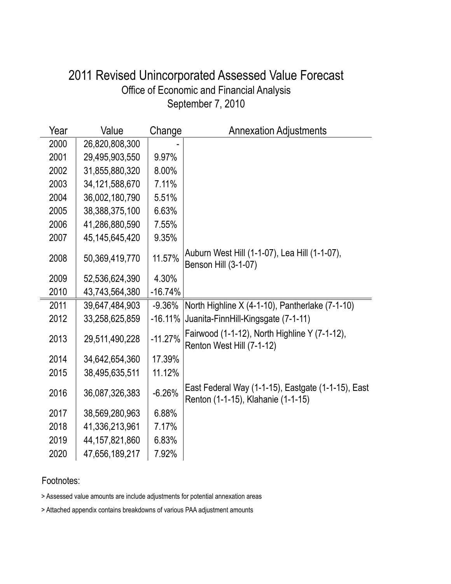#### September 7, 2010 Office of Economic and Financial Analysis 2011 Revised Unincorporated Assessed Value Forecast

| Year | Value             | Change    | <b>Annexation Adjustments</b>                                                            |
|------|-------------------|-----------|------------------------------------------------------------------------------------------|
| 2000 | 26,820,808,300    |           |                                                                                          |
| 2001 | 29,495,903,550    | 9.97%     |                                                                                          |
| 2002 | 31,855,880,320    | 8.00%     |                                                                                          |
| 2003 | 34, 121, 588, 670 | 7.11%     |                                                                                          |
| 2004 | 36,002,180,790    | 5.51%     |                                                                                          |
| 2005 | 38,388,375,100    | 6.63%     |                                                                                          |
| 2006 | 41,286,880,590    | 7.55%     |                                                                                          |
| 2007 | 45, 145, 645, 420 | 9.35%     |                                                                                          |
| 2008 | 50,369,419,770    | 11.57%    | Auburn West Hill (1-1-07), Lea Hill (1-1-07),<br>Benson Hill (3-1-07)                    |
| 2009 | 52,536,624,390    | 4.30%     |                                                                                          |
| 2010 | 43,743,564,380    | $-16.74%$ |                                                                                          |
| 2011 | 39,647,484,903    | $-9.36%$  | North Highline X (4-1-10), Pantherlake (7-1-10)                                          |
| 2012 | 33,258,625,859    | $-16.11%$ | Juanita-FinnHill-Kingsgate (7-1-11)                                                      |
| 2013 | 29,511,490,228    | $-11.27%$ | Fairwood (1-1-12), North Highline Y (7-1-12),<br>Renton West Hill (7-1-12)               |
| 2014 | 34,642,654,360    | 17.39%    |                                                                                          |
| 2015 | 38,495,635,511    | 11.12%    |                                                                                          |
| 2016 | 36,087,326,383    | $-6.26%$  | East Federal Way (1-1-15), Eastgate (1-1-15), East<br>Renton (1-1-15), Klahanie (1-1-15) |
| 2017 | 38,569,280,963    | 6.88%     |                                                                                          |
| 2018 | 41,336,213,961    | 7.17%     |                                                                                          |
| 2019 | 44, 157, 821, 860 | 6.83%     |                                                                                          |
| 2020 | 47,656,189,217    | 7.92%     |                                                                                          |

Footnotes:

> Assessed value amounts are include adjustments for potential annexation areas

> Attached appendix contains breakdowns of various PAA adjustment amounts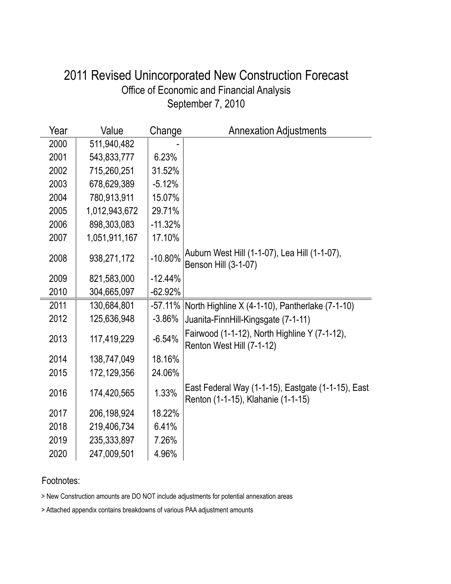#### September 7, 2010 Office of Economic and Financial Analysis 2011 Revised Unincorporated New Construction Forecast

| Year | Value         | Change    | <b>Annexation Adjustments</b>                                                            |
|------|---------------|-----------|------------------------------------------------------------------------------------------|
| 2000 | 511,940,482   |           |                                                                                          |
| 2001 | 543,833,777   | 6.23%     |                                                                                          |
| 2002 | 715,260,251   | 31.52%    |                                                                                          |
| 2003 | 678,629,389   | $-5.12%$  |                                                                                          |
| 2004 | 780,913,911   | 15.07%    |                                                                                          |
| 2005 | 1,012,943,672 | 29.71%    |                                                                                          |
| 2006 | 898,303,083   | $-11.32%$ |                                                                                          |
| 2007 | 1,051,911,167 | 17.10%    |                                                                                          |
| 2008 | 938,271,172   | $-10.80%$ | Auburn West Hill (1-1-07), Lea Hill (1-1-07),<br>Benson Hill (3-1-07)                    |
| 2009 | 821,583,000   | $-12.44%$ |                                                                                          |
| 2010 | 304,665,097   | $-62.92%$ |                                                                                          |
| 2011 | 130,684,801   | $-57.11%$ | North Highline X (4-1-10), Pantherlake (7-1-10)                                          |
| 2012 | 125,636,948   | $-3.86%$  | Juanita-FinnHill-Kingsgate (7-1-11)                                                      |
| 2013 | 117,419,229   | $-6.54%$  | Fairwood (1-1-12), North Highline Y (7-1-12),<br>Renton West Hill (7-1-12)               |
| 2014 | 138,747,049   | 18.16%    |                                                                                          |
| 2015 | 172,129,356   | 24.06%    |                                                                                          |
| 2016 | 174,420,565   | 1.33%     | East Federal Way (1-1-15), Eastgate (1-1-15), East<br>Renton (1-1-15), Klahanie (1-1-15) |
| 2017 | 206,198,924   | 18.22%    |                                                                                          |
| 2018 | 219,406,734   | 6.41%     |                                                                                          |
| 2019 | 235,333,897   | 7.26%     |                                                                                          |
| 2020 | 247,009,501   | 4.96%     |                                                                                          |

Footnotes:

> New Construction amounts are DO NOT include adjustments for potential annexation areas

> Attached appendix contains breakdowns of various PAA adjustment amounts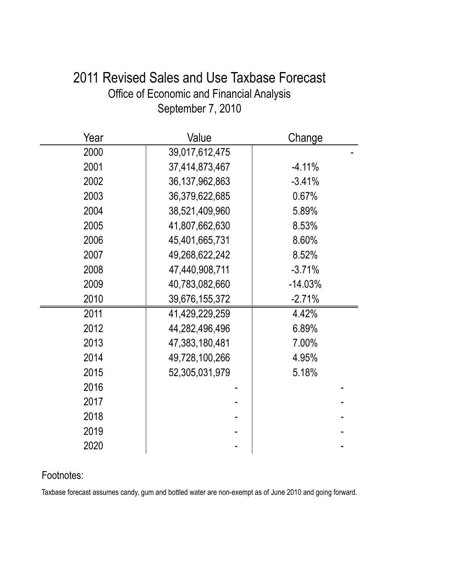## 2011 Revised Sales and Use Taxbase Forecast Office of Economic and Financial Analysis September 7, 2010

| Year | Value             | Change    |
|------|-------------------|-----------|
| 2000 | 39,017,612,475    |           |
| 2001 | 37,414,873,467    | $-4.11%$  |
| 2002 | 36, 137, 962, 863 | $-3.41%$  |
| 2003 | 36,379,622,685    | 0.67%     |
| 2004 | 38,521,409,960    | 5.89%     |
| 2005 | 41,807,662,630    | 8.53%     |
| 2006 | 45,401,665,731    | 8.60%     |
| 2007 | 49,268,622,242    | 8.52%     |
| 2008 | 47,440,908,711    | $-3.71%$  |
| 2009 | 40,783,082,660    | $-14.03%$ |
| 2010 | 39,676,155,372    | $-2.71%$  |
| 2011 | 41,429,229,259    | 4.42%     |
| 2012 | 44,282,496,496    | 6.89%     |
| 2013 | 47,383,180,481    | 7.00%     |
| 2014 | 49,728,100,266    | 4.95%     |
| 2015 | 52,305,031,979    | 5.18%     |
| 2016 |                   |           |
| 2017 |                   |           |
| 2018 |                   |           |
| 2019 |                   |           |
| 2020 |                   |           |

#### Footnotes:

Taxbase forecast assumes candy, gum and bottled water are non-exempt as of June 2010 and going forward.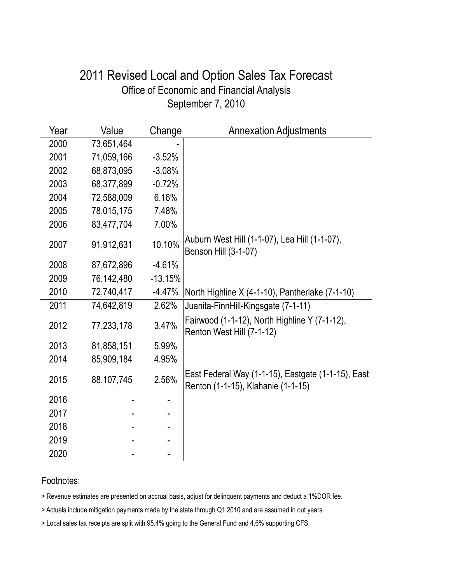#### September 7, 2010 Office of Economic and Financial Analysis 2011 Revised Local and Option Sales Tax Forecast

| Year | Value      | Change    | <b>Annexation Adjustments</b>                                                            |
|------|------------|-----------|------------------------------------------------------------------------------------------|
| 2000 | 73,651,464 |           |                                                                                          |
| 2001 | 71,059,166 | $-3.52%$  |                                                                                          |
| 2002 | 68,873,095 | $-3.08%$  |                                                                                          |
| 2003 | 68,377,899 | $-0.72%$  |                                                                                          |
| 2004 | 72,588,009 | 6.16%     |                                                                                          |
| 2005 | 78,015,175 | 7.48%     |                                                                                          |
| 2006 | 83,477,704 | 7.00%     |                                                                                          |
| 2007 | 91,912,631 | 10.10%    | Auburn West Hill (1-1-07), Lea Hill (1-1-07),<br>Benson Hill (3-1-07)                    |
| 2008 | 87,672,896 | $-4.61%$  |                                                                                          |
| 2009 | 76,142,480 | $-13.15%$ |                                                                                          |
| 2010 | 72,740,417 | $-4.47%$  | North Highline X (4-1-10), Pantherlake (7-1-10)                                          |
| 2011 | 74,642,819 | 2.62%     | Juanita-FinnHill-Kingsgate (7-1-11)                                                      |
| 2012 | 77,233,178 | 3.47%     | Fairwood (1-1-12), North Highline Y (7-1-12),<br>Renton West Hill (7-1-12)               |
| 2013 | 81,858,151 | 5.99%     |                                                                                          |
| 2014 | 85,909,184 | 4.95%     |                                                                                          |
| 2015 | 88,107,745 | 2.56%     | East Federal Way (1-1-15), Eastgate (1-1-15), East<br>Renton (1-1-15), Klahanie (1-1-15) |
| 2016 |            |           |                                                                                          |
| 2017 |            |           |                                                                                          |
| 2018 |            |           |                                                                                          |
| 2019 |            |           |                                                                                          |
| 2020 |            |           |                                                                                          |

Footnotes:

> Revenue estimates are presented on accrual basis, adjust for delinquent payments and deduct a 1%DOR fee.

> Actuals include mitigation payments made by the state through Q1 2010 and are assumed in out years.

> Local sales tax receipts are split with 95.4% going to the General Fund and 4.6% supporting CFS.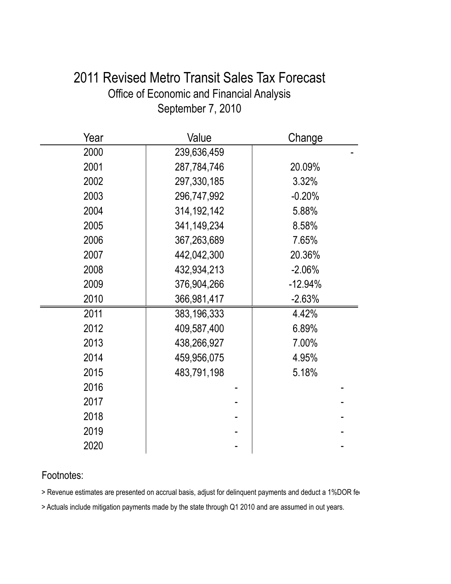### 2011 Revised Metro Transit Sales Tax Forecast Office of Economic and Financial Analysis September 7, 2010

| Year | Value         | Change    |
|------|---------------|-----------|
| 2000 | 239,636,459   |           |
| 2001 | 287,784,746   | 20.09%    |
| 2002 | 297,330,185   | 3.32%     |
| 2003 | 296,747,992   | $-0.20%$  |
| 2004 | 314, 192, 142 | 5.88%     |
| 2005 | 341,149,234   | 8.58%     |
| 2006 | 367,263,689   | 7.65%     |
| 2007 | 442,042,300   | 20.36%    |
| 2008 | 432,934,213   | $-2.06%$  |
| 2009 | 376,904,266   | $-12.94%$ |
| 2010 | 366,981,417   | $-2.63%$  |
| 2011 | 383,196,333   | 4.42%     |
| 2012 | 409,587,400   | 6.89%     |
| 2013 | 438,266,927   | 7.00%     |
| 2014 | 459,956,075   | 4.95%     |
| 2015 | 483,791,198   | 5.18%     |
| 2016 |               |           |
| 2017 |               |           |
| 2018 |               |           |
| 2019 |               |           |
| 2020 |               |           |

#### Footnotes:

> Revenue estimates are presented on accrual basis, adjust for delinquent payments and deduct a 1%DOR fere

> Actuals include mitigation payments made by the state through Q1 2010 and are assumed in out years.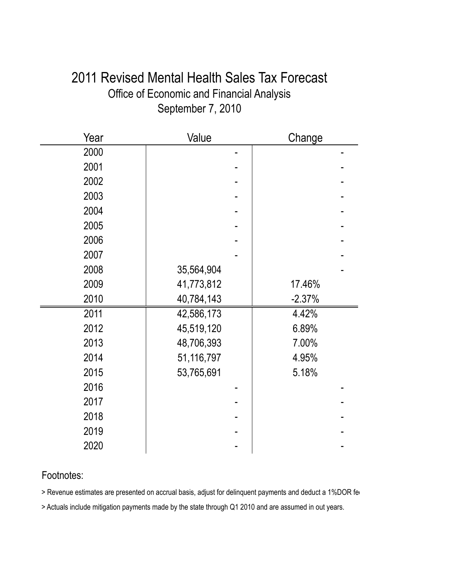#### 2011 Revised Mental Health Sales Tax Forecast Office of Economic and Financial Analysis September 7, 2010

| Year | Value      | Change   |
|------|------------|----------|
| 2000 |            |          |
| 2001 |            |          |
| 2002 |            |          |
| 2003 |            |          |
| 2004 |            |          |
| 2005 |            |          |
| 2006 |            |          |
| 2007 |            |          |
| 2008 | 35,564,904 |          |
| 2009 | 41,773,812 | 17.46%   |
| 2010 | 40,784,143 | $-2.37%$ |
| 2011 | 42,586,173 | 4.42%    |
| 2012 | 45,519,120 | 6.89%    |
| 2013 | 48,706,393 | 7.00%    |
| 2014 | 51,116,797 | 4.95%    |
| 2015 | 53,765,691 | 5.18%    |
| 2016 |            |          |
| 2017 |            |          |
| 2018 |            |          |
| 2019 |            |          |
| 2020 |            |          |

#### Footnotes:

> Revenue estimates are presented on accrual basis, adjust for delinquent payments and deduct a 1%DOR fere

> Actuals include mitigation payments made by the state through Q1 2010 and are assumed in out years.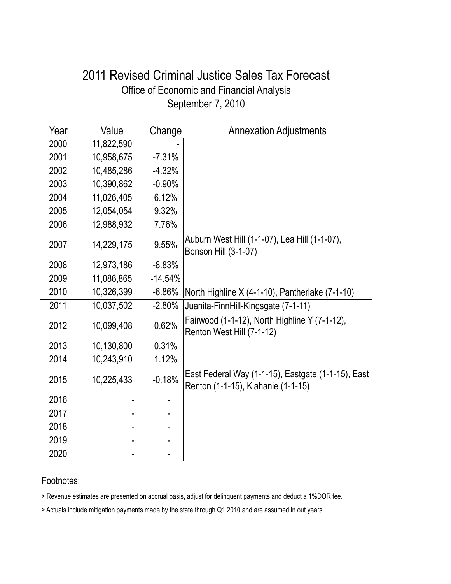#### September 7, 2010 Office of Economic and Financial Analysis 2011 Revised Criminal Justice Sales Tax Forecast

| Year | Value      | Change    | <b>Annexation Adjustments</b>                                                            |
|------|------------|-----------|------------------------------------------------------------------------------------------|
| 2000 | 11,822,590 |           |                                                                                          |
| 2001 | 10,958,675 | $-7.31%$  |                                                                                          |
| 2002 | 10,485,286 | $-4.32%$  |                                                                                          |
| 2003 | 10,390,862 | $-0.90%$  |                                                                                          |
| 2004 | 11,026,405 | 6.12%     |                                                                                          |
| 2005 | 12,054,054 | 9.32%     |                                                                                          |
| 2006 | 12,988,932 | 7.76%     |                                                                                          |
| 2007 | 14,229,175 | 9.55%     | Auburn West Hill (1-1-07), Lea Hill (1-1-07),<br>Benson Hill (3-1-07)                    |
| 2008 | 12,973,186 | $-8.83%$  |                                                                                          |
| 2009 | 11,086,865 | $-14.54%$ |                                                                                          |
| 2010 | 10,326,399 | $-6.86%$  | North Highline $X$ (4-1-10), Pantherlake (7-1-10)                                        |
| 2011 | 10,037,502 | $-2.80%$  | Juanita-FinnHill-Kingsgate (7-1-11)                                                      |
| 2012 | 10,099,408 | 0.62%     | Fairwood (1-1-12), North Highline Y (7-1-12),<br>Renton West Hill (7-1-12)               |
| 2013 | 10,130,800 | 0.31%     |                                                                                          |
| 2014 | 10,243,910 | 1.12%     |                                                                                          |
| 2015 | 10,225,433 | $-0.18%$  | East Federal Way (1-1-15), Eastgate (1-1-15), East<br>Renton (1-1-15), Klahanie (1-1-15) |
| 2016 |            |           |                                                                                          |
| 2017 |            |           |                                                                                          |
| 2018 |            |           |                                                                                          |
| 2019 |            |           |                                                                                          |
| 2020 |            |           |                                                                                          |

Footnotes:

> Revenue estimates are presented on accrual basis, adjust for delinquent payments and deduct a 1%DOR fee.

> Actuals include mitigation payments made by the state through Q1 2010 and are assumed in out years.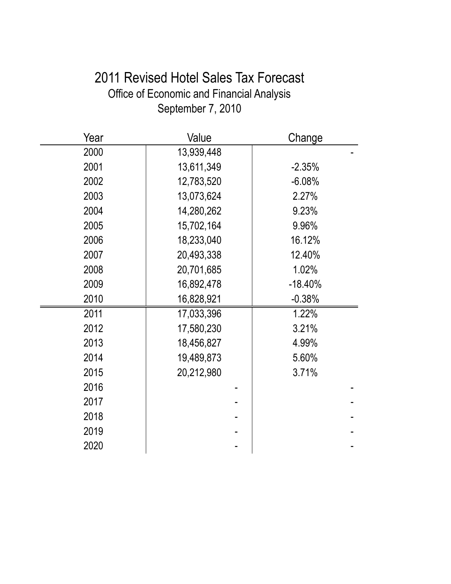# 2011 Revised Hotel Sales Tax Forecast Office of Economic and Financial Analysis September 7, 2010

| Year | Value      | Change    |
|------|------------|-----------|
| 2000 | 13,939,448 |           |
| 2001 | 13,611,349 | $-2.35%$  |
| 2002 | 12,783,520 | $-6.08%$  |
| 2003 | 13,073,624 | 2.27%     |
| 2004 | 14,280,262 | 9.23%     |
| 2005 | 15,702,164 | 9.96%     |
| 2006 | 18,233,040 | 16.12%    |
| 2007 | 20,493,338 | 12.40%    |
| 2008 | 20,701,685 | 1.02%     |
| 2009 | 16,892,478 | $-18.40%$ |
| 2010 | 16,828,921 | $-0.38%$  |
| 2011 | 17,033,396 | 1.22%     |
| 2012 | 17,580,230 | 3.21%     |
| 2013 | 18,456,827 | 4.99%     |
| 2014 | 19,489,873 | 5.60%     |
| 2015 | 20,212,980 | 3.71%     |
| 2016 |            |           |
| 2017 |            |           |
| 2018 |            |           |
| 2019 |            |           |
| 2020 |            |           |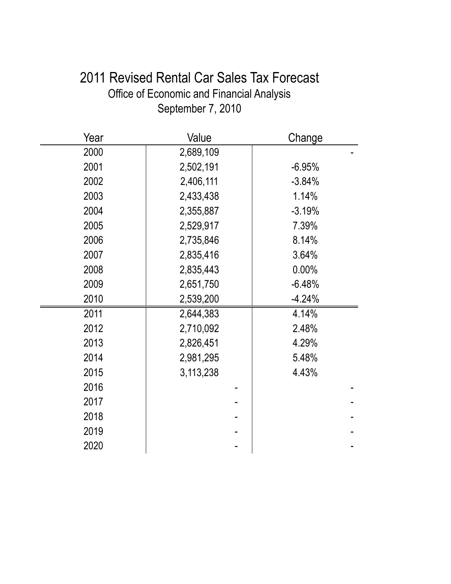# 2011 Revised Rental Car Sales Tax Forecast Office of Economic and Financial Analysis September 7, 2010

| Year | Value     | Change   |
|------|-----------|----------|
| 2000 | 2,689,109 |          |
| 2001 | 2,502,191 | $-6.95%$ |
| 2002 | 2,406,111 | $-3.84%$ |
| 2003 | 2,433,438 | 1.14%    |
| 2004 | 2,355,887 | $-3.19%$ |
| 2005 | 2,529,917 | 7.39%    |
| 2006 | 2,735,846 | 8.14%    |
| 2007 | 2,835,416 | 3.64%    |
| 2008 | 2,835,443 | 0.00%    |
| 2009 | 2,651,750 | $-6.48%$ |
| 2010 | 2,539,200 | $-4.24%$ |
| 2011 | 2,644,383 | 4.14%    |
| 2012 | 2,710,092 | 2.48%    |
| 2013 | 2,826,451 | 4.29%    |
| 2014 | 2,981,295 | 5.48%    |
| 2015 | 3,113,238 | 4.43%    |
| 2016 |           |          |
| 2017 |           |          |
| 2018 |           |          |
| 2019 |           |          |
| 2020 |           |          |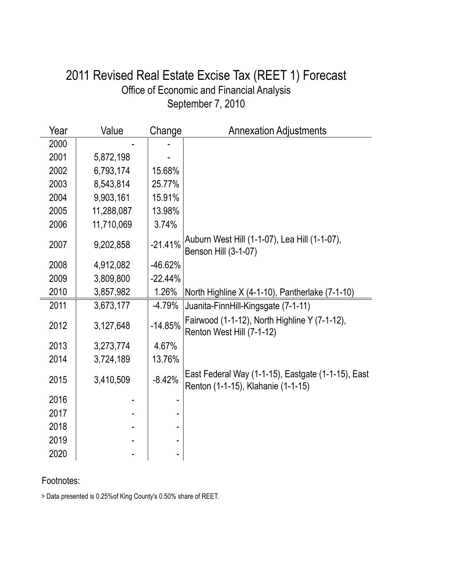#### September 7, 2010 Office of Economic and Financial Analysis 2011 Revised Real Estate Excise Tax (REET 1) Forecast

| Year | Value      | Change    | <b>Annexation Adjustments</b>                                                            |
|------|------------|-----------|------------------------------------------------------------------------------------------|
| 2000 |            |           |                                                                                          |
| 2001 | 5,872,198  |           |                                                                                          |
| 2002 | 6,793,174  | 15.68%    |                                                                                          |
| 2003 | 8,543,814  | 25.77%    |                                                                                          |
| 2004 | 9,903,161  | 15.91%    |                                                                                          |
| 2005 | 11,288,087 | 13.98%    |                                                                                          |
| 2006 | 11,710,069 | 3.74%     |                                                                                          |
| 2007 | 9,202,858  | $-21.41%$ | Auburn West Hill (1-1-07), Lea Hill (1-1-07),<br>Benson Hill (3-1-07)                    |
| 2008 | 4,912,082  | $-46.62%$ |                                                                                          |
| 2009 | 3,809,800  | $-22.44%$ |                                                                                          |
| 2010 | 3,857,982  | 1.26%     | North Highline $X$ (4-1-10), Pantherlake (7-1-10)                                        |
| 2011 | 3,673,177  | $-4.79%$  | Juanita-FinnHill-Kingsgate (7-1-11)                                                      |
| 2012 | 3,127,648  | $-14.85%$ | Fairwood (1-1-12), North Highline Y (7-1-12),<br>Renton West Hill (7-1-12)               |
| 2013 | 3,273,774  | 4.67%     |                                                                                          |
| 2014 | 3,724,189  | 13.76%    |                                                                                          |
| 2015 | 3,410,509  | $-8.42%$  | East Federal Way (1-1-15), Eastgate (1-1-15), East<br>Renton (1-1-15), Klahanie (1-1-15) |
| 2016 |            |           |                                                                                          |
| 2017 |            |           |                                                                                          |
| 2018 |            |           |                                                                                          |
| 2019 |            |           |                                                                                          |
| 2020 |            |           |                                                                                          |

Footnotes:

> Data presented is 0.25%of King County's 0.50% share of REET.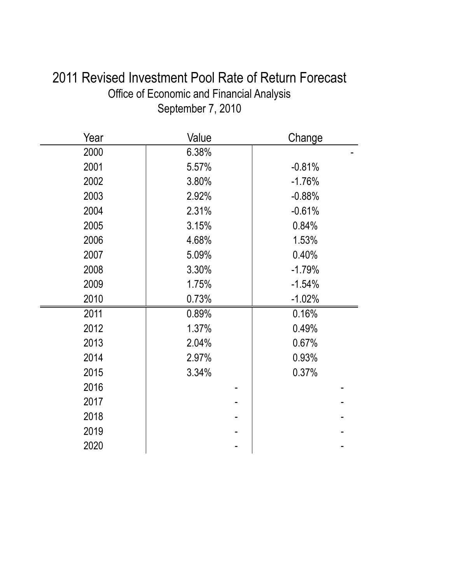# 2011 Revised Investment Pool Rate of Return Forecast Office of Economic and Financial Analysis September 7, 2010

| Year | Value | Change   |
|------|-------|----------|
| 2000 | 6.38% |          |
| 2001 | 5.57% | $-0.81%$ |
| 2002 | 3.80% | $-1.76%$ |
| 2003 | 2.92% | $-0.88%$ |
| 2004 | 2.31% | $-0.61%$ |
| 2005 | 3.15% | 0.84%    |
| 2006 | 4.68% | 1.53%    |
| 2007 | 5.09% | 0.40%    |
| 2008 | 3.30% | $-1.79%$ |
| 2009 | 1.75% | $-1.54%$ |
| 2010 | 0.73% | $-1.02%$ |
| 2011 | 0.89% | 0.16%    |
| 2012 | 1.37% | 0.49%    |
| 2013 | 2.04% | 0.67%    |
| 2014 | 2.97% | 0.93%    |
| 2015 | 3.34% | 0.37%    |
| 2016 |       |          |
| 2017 |       |          |
| 2018 |       |          |
| 2019 |       |          |
| 2020 |       |          |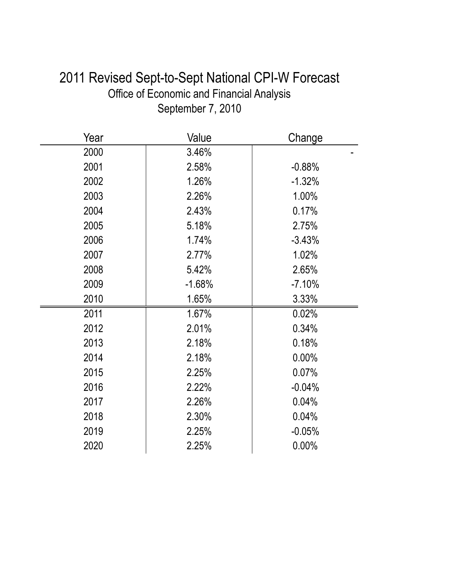# 2011 Revised Sept-to-Sept National CPI-W Forecast Office of Economic and Financial Analysis September 7, 2010

| Year | Value    | Change   |
|------|----------|----------|
| 2000 | 3.46%    |          |
| 2001 | 2.58%    | $-0.88%$ |
| 2002 | 1.26%    | $-1.32%$ |
| 2003 | 2.26%    | 1.00%    |
| 2004 | 2.43%    | 0.17%    |
| 2005 | 5.18%    | 2.75%    |
| 2006 | 1.74%    | $-3.43%$ |
| 2007 | 2.77%    | 1.02%    |
| 2008 | 5.42%    | 2.65%    |
| 2009 | $-1.68%$ | $-7.10%$ |
| 2010 | 1.65%    | 3.33%    |
| 2011 | 1.67%    | 0.02%    |
| 2012 | 2.01%    | 0.34%    |
| 2013 | 2.18%    | 0.18%    |
| 2014 | 2.18%    | 0.00%    |
| 2015 | 2.25%    | 0.07%    |
| 2016 | 2.22%    | $-0.04%$ |
| 2017 | 2.26%    | 0.04%    |
| 2018 | 2.30%    | 0.04%    |
| 2019 | 2.25%    | $-0.05%$ |
| 2020 | 2.25%    | 0.00%    |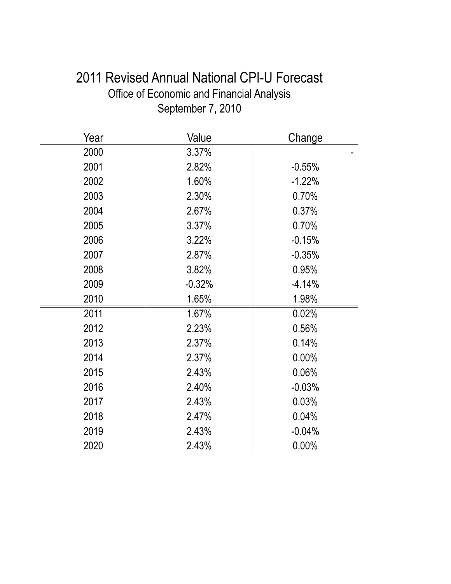# 2011 Revised Annual National CPI-U Forecast Office of Economic and Financial Analysis September 7, 2010

| Year | Value    | Change   |
|------|----------|----------|
| 2000 | 3.37%    |          |
| 2001 | 2.82%    | $-0.55%$ |
| 2002 | 1.60%    | $-1.22%$ |
| 2003 | 2.30%    | 0.70%    |
| 2004 | 2.67%    | 0.37%    |
| 2005 | 3.37%    | 0.70%    |
| 2006 | 3.22%    | $-0.15%$ |
| 2007 | 2.87%    | $-0.35%$ |
| 2008 | 3.82%    | 0.95%    |
| 2009 | $-0.32%$ | $-4.14%$ |
| 2010 | 1.65%    | 1.98%    |
| 2011 | 1.67%    | 0.02%    |
| 2012 | 2.23%    | 0.56%    |
| 2013 | 2.37%    | 0.14%    |
| 2014 | 2.37%    | 0.00%    |
| 2015 | 2.43%    | 0.06%    |
| 2016 | 2.40%    | $-0.03%$ |
| 2017 | 2.43%    | 0.03%    |
| 2018 | 2.47%    | 0.04%    |
| 2019 | 2.43%    | $-0.04%$ |
| 2020 | 2.43%    | 0.00%    |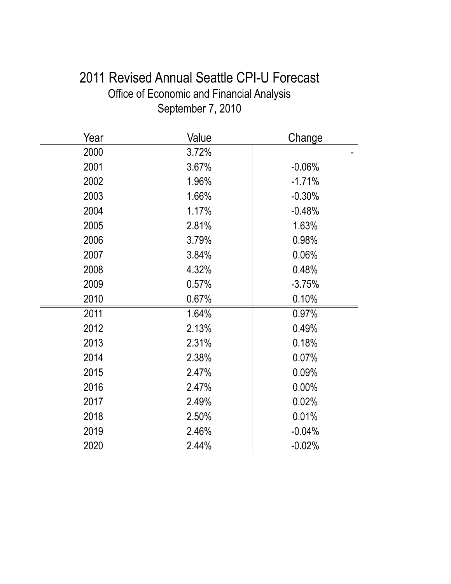# 2011 Revised Annual Seattle CPI-U Forecast Office of Economic and Financial Analysis September 7, 2010

| Year | Value | Change   |
|------|-------|----------|
| 2000 | 3.72% |          |
| 2001 | 3.67% | $-0.06%$ |
| 2002 | 1.96% | $-1.71%$ |
| 2003 | 1.66% | $-0.30%$ |
| 2004 | 1.17% | $-0.48%$ |
| 2005 | 2.81% | 1.63%    |
| 2006 | 3.79% | 0.98%    |
| 2007 | 3.84% | 0.06%    |
| 2008 | 4.32% | 0.48%    |
| 2009 | 0.57% | $-3.75%$ |
| 2010 | 0.67% | 0.10%    |
| 2011 | 1.64% | 0.97%    |
| 2012 | 2.13% | 0.49%    |
| 2013 | 2.31% | 0.18%    |
| 2014 | 2.38% | 0.07%    |
| 2015 | 2.47% | 0.09%    |
| 2016 | 2.47% | 0.00%    |
| 2017 | 2.49% | 0.02%    |
| 2018 | 2.50% | 0.01%    |
| 2019 | 2.46% | $-0.04%$ |
| 2020 | 2.44% | $-0.02%$ |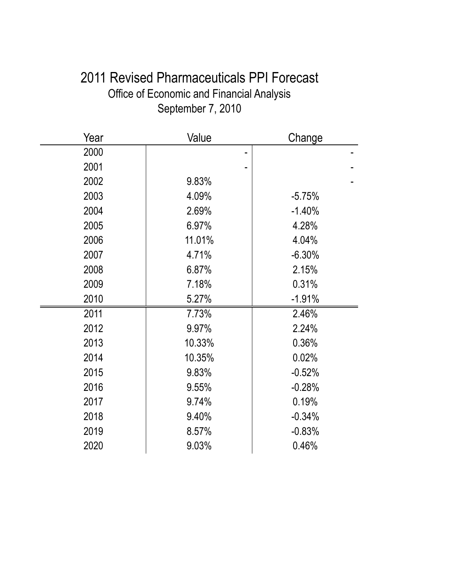# 2011 Revised Pharmaceuticals PPI Forecast Office of Economic and Financial Analysis September 7, 2010

| Year | Value  | Change   |
|------|--------|----------|
| 2000 | -      |          |
| 2001 |        |          |
| 2002 | 9.83%  |          |
| 2003 | 4.09%  | $-5.75%$ |
| 2004 | 2.69%  | $-1.40%$ |
| 2005 | 6.97%  | 4.28%    |
| 2006 | 11.01% | 4.04%    |
| 2007 | 4.71%  | $-6.30%$ |
| 2008 | 6.87%  | 2.15%    |
| 2009 | 7.18%  | 0.31%    |
| 2010 | 5.27%  | $-1.91%$ |
| 2011 | 7.73%  | 2.46%    |
| 2012 | 9.97%  | 2.24%    |
| 2013 | 10.33% | 0.36%    |
| 2014 | 10.35% | 0.02%    |
| 2015 | 9.83%  | $-0.52%$ |
| 2016 | 9.55%  | $-0.28%$ |
| 2017 | 9.74%  | 0.19%    |
| 2018 | 9.40%  | $-0.34%$ |
| 2019 | 8.57%  | $-0.83%$ |
| 2020 | 9.03%  | 0.46%    |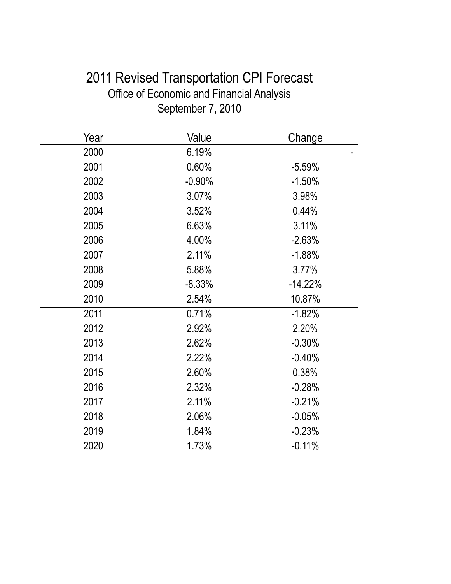# 2011 Revised Transportation CPI Forecast Office of Economic and Financial Analysis September 7, 2010

| Year | Value    | Change    |
|------|----------|-----------|
| 2000 | 6.19%    |           |
| 2001 | 0.60%    | $-5.59%$  |
| 2002 | $-0.90%$ | $-1.50%$  |
| 2003 | 3.07%    | 3.98%     |
| 2004 | 3.52%    | 0.44%     |
| 2005 | 6.63%    | 3.11%     |
| 2006 | 4.00%    | $-2.63%$  |
| 2007 | 2.11%    | $-1.88%$  |
| 2008 | 5.88%    | 3.77%     |
| 2009 | $-8.33%$ | $-14.22%$ |
| 2010 | 2.54%    | 10.87%    |
| 2011 | 0.71%    | $-1.82%$  |
| 2012 | 2.92%    | 2.20%     |
| 2013 | 2.62%    | $-0.30%$  |
| 2014 | 2.22%    | $-0.40%$  |
| 2015 | 2.60%    | 0.38%     |
| 2016 | 2.32%    | $-0.28%$  |
| 2017 | 2.11%    | $-0.21%$  |
| 2018 | 2.06%    | $-0.05%$  |
| 2019 | 1.84%    | $-0.23%$  |
| 2020 | 1.73%    | $-0.11%$  |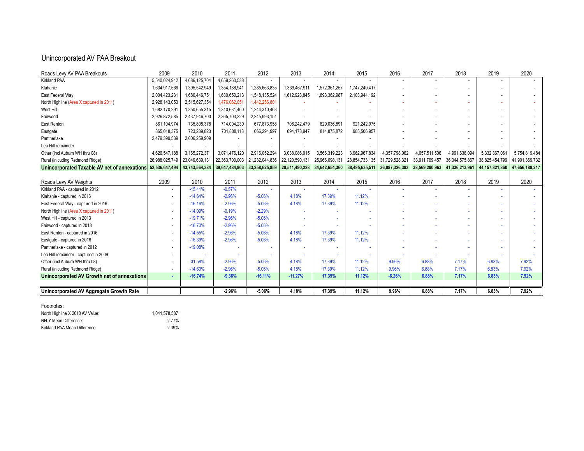#### Unincorporated AV PAA Breakout

| Roads Levy AV PAA Breakouts                                 | 2009           | 2010                          | 2011           | 2012           | 2013           | 2014           | 2015           | 2016           | 2017           | 2018              | 2019              | 2020           |
|-------------------------------------------------------------|----------------|-------------------------------|----------------|----------------|----------------|----------------|----------------|----------------|----------------|-------------------|-------------------|----------------|
| <b>Kirkland PAA</b>                                         | 5,540,024,942  | 4,686,125,704                 | 4,659,260,538  |                |                |                |                |                |                |                   |                   |                |
| Klahanie                                                    | 1,634,917,566  | 1,395,542,949                 | 1,354,188,941  | 1,285,663,835  | 1,339,467,911  | 1,572,361,257  | 1,747,240,417  |                |                |                   |                   |                |
| East Federal Way                                            | 2,004,423,231  | 1,680,446,751                 | 1,630,650,213  | 1,548,135,524  | 1,612,923,845  | 1,893,362,987  | 2,103,944,192  |                |                |                   |                   |                |
| North Highline (Area X captured in 2011)                    | 2,928,143,053  | 2,515,627,354                 | 1,476,062,051  | 1,442,256,801  |                |                |                |                |                |                   |                   |                |
| West Hill                                                   | 1,682,170,291  | 1,350,655,315                 | 1,310,631,460  | 1,244,310,463  |                |                |                |                |                |                   |                   |                |
| Fairwood                                                    | 2,926,872,585  | 2,437,946,700                 | 2,365,703,229  | 2,245,993,151  |                |                |                |                |                |                   |                   |                |
| East Renton                                                 | 861,104,974    | 735,808,378                   | 714,004,230    | 677,873,958    | 706,242,479    | 829,036,891    | 921,242,975    |                |                |                   |                   |                |
| Eastgate                                                    | 865,018,375    | 723,239,823                   | 701,808,118    | 666,294,997    | 694,178,947    | 814,875,872    | 905,506,957    |                |                |                   |                   |                |
| Pantherlake                                                 | 2,479,399,539  | 2,006,259,909                 |                |                |                |                |                |                |                |                   |                   |                |
| Lea Hill remainder                                          |                |                               |                |                |                |                |                |                |                |                   |                   |                |
| Other (incl Auburn WH thru 08)                              | 4,626,547,188  | 3,165,272,371                 | 3,071,476,120  | 2,916,052,294  | 3,038,086,915  | 3,566,319,223  | 3,962,967,834  | 4,357,798,062  | 4,657,511,506  | 4,991,638,094     | 5,332,367,061     | 5,754,819,484  |
| Rural (inlcuding Redmond Ridge)                             | 26,988,025,749 | 23,046,639,131                | 22,363,700,003 | 21,232,044,836 | 22,120,590,131 | 25,966,698,131 | 28,854,733,135 | 31,729,528,321 | 33,911,769,457 | 36, 344, 575, 867 | 38,825,454,799    | 41,901,369,732 |
| Unincorporated Taxable AV net of annexations 52,536,647,494 |                | 43,743,564,384 39,647,484,903 |                | 33,258,625,859 | 29,511,490,228 | 34,642,654,360 | 38,495,635,511 | 36,087,326,383 | 38,569,280,963 | 41,336,213,961    | 44, 157, 821, 860 | 47,656,189,217 |
|                                                             |                |                               |                |                |                |                |                |                |                |                   |                   |                |
| Roads Levy AV Weights                                       | 2009           | 2010                          | 2011           | 2012           | 2013           | 2014           | 2015           | 2016           | 2017           | 2018              | 2019              | 2020           |
| Kirkland PAA - captured in 2012                             |                | $-15.41%$                     | $-0.57%$       |                |                |                |                |                |                |                   |                   |                |
| Klahanie - captured in 2016                                 |                | $-14.64%$                     | $-2.96%$       | $-5.06%$       | 4.18%          | 17.39%         | 11.12%         |                |                |                   |                   |                |
| East Federal Way - captured in 2016                         |                | $-16.16%$                     | $-2.96%$       | $-5.06%$       | 4.18%          | 17.39%         | 11.12%         |                |                |                   |                   |                |
| North Highline (Area X captured in 2011)                    |                | $-14.09%$                     | $-0.19%$       | $-2.29%$       |                |                |                |                |                |                   |                   |                |
| West Hill - captured in 2013                                |                | $-19.71%$                     | $-2.96%$       | $-5.06%$       |                |                |                |                |                |                   |                   |                |
| Fairwood - captured in 2013                                 |                | $-16.70%$                     | $-2.96%$       | $-5.06%$       |                |                |                |                |                |                   |                   |                |
| East Renton - captured in 2016                              |                | $-14.55%$                     | $-2.96%$       | $-5.06%$       | 4.18%          | 17.39%         | 11.12%         |                |                |                   |                   |                |
| Eastgate - captured in 2016                                 |                | $-16.39%$                     | $-2.96%$       | $-5.06%$       | 4.18%          | 17.39%         | 11.12%         |                |                |                   |                   |                |
| Pantherlake - captured in 2012                              |                | $-19.08%$                     |                |                |                |                |                |                |                |                   |                   |                |
| Lea Hill remainder - captured in 2009                       |                |                               |                |                |                |                |                |                |                |                   |                   |                |
| Other (incl Auburn WH thru 08)                              |                | $-31.58%$                     | $-2.96%$       | $-5.06%$       | 4.18%          | 17.39%         | 11.12%         | 9.96%          | 6.88%          | 7.17%             | 6.83%             | 7.92%          |
| Rural (inlcuding Redmond Ridge)                             |                | $-14.60%$                     | $-2.96%$       | $-5.06%$       | 4.18%          | 17.39%         | 11.12%         | 9.96%          | 6.88%          | 7.17%             | 6.83%             | 7.92%          |
| Unincorporated AV Growth net of annexations                 |                | $-16.74%$                     | $-9.36%$       | $-16.11%$      | $-11.27%$      | 17.39%         | 11.12%         | $-6.26%$       | 6.88%          | 7.17%             | 6.83%             | 7.92%          |
|                                                             |                |                               |                |                |                |                |                |                |                |                   |                   |                |
| Unincorporated AV Aggregate Growth Rate                     |                |                               | $-2.96%$       | $-5.06%$       | 4.18%          | 17.39%         | 11.12%         | 9.96%          | 6.88%          | 7.17%             | 6.83%             | 7.92%          |

Footnotes:

North Highline X 2010 AV Value: 1,041,578,587 NH-Y Mean Difference:<br>
Kirkland PAA Mean Difference: 2.39% 2.39% Kirkland PAA Mean Difference: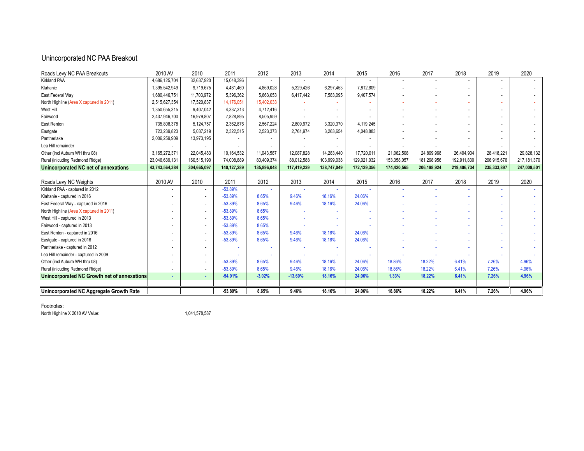#### Unincorporated NC PAA Breakout

| Roads Levy NC PAA Breakouts                 | 2010 AV        | 2010                     | 2011        | 2012        | 2013        | 2014        | 2015        | 2016        | 2017        | 2018        | 2019        | 2020        |
|---------------------------------------------|----------------|--------------------------|-------------|-------------|-------------|-------------|-------------|-------------|-------------|-------------|-------------|-------------|
| <b>Kirkland PAA</b>                         | 4.686.125.704  | 32.637.920               | 15,048,396  |             |             |             |             |             |             |             |             |             |
| Klahanie                                    | 1,395,542,949  | 9,719,675                | 4,481,460   | 4,869,028   | 5,329,426   | 6.297.453   | 7,812,609   |             |             |             |             |             |
| East Federal Way                            | 1,680,446,751  | 11,703,972               | 5,396,362   | 5,863,053   | 6,417,442   | 7,583,095   | 9,407,574   |             |             |             |             |             |
| North Highline (Area X captured in 2011)    | 2,515,627,354  | 17,520,837               | 14,176,051  | 15.402.033  |             |             |             |             |             |             |             |             |
| West Hill                                   | 1,350,655,315  | 9,407,042                | 4,337,313   | 4.712.416   |             |             |             |             |             |             |             |             |
| Fairwood                                    | 2,437,946,700  | 16,979,807               | 7,828,895   | 8,505,959   |             |             |             |             |             |             |             |             |
| East Renton                                 | 735,808,378    | 5,124,757                | 2,362,876   | 2,567,224   | 2,809,972   | 3,320,370   | 4,119,245   |             |             |             |             |             |
| Eastgate                                    | 723,239,823    | 5,037,219                | 2,322,515   | 2,523,373   | 2,761,974   | 3,263,654   | 4,048,883   |             |             |             |             |             |
| Pantherlake                                 | 2,006,259,909  | 13,973,195               |             |             |             |             |             |             |             |             |             |             |
| Lea Hill remainder                          |                |                          |             |             |             |             |             |             |             |             |             |             |
| Other (incl Auburn WH thru 08)              | 3,165,272,371  | 22,045,483               | 10,164,532  | 11.043.587  | 12,087,828  | 14.283.440  | 17.720.011  | 21,062,508  | 24.899.968  | 26,494,904  | 28,418,221  | 29,828,132  |
| Rural (inlcuding Redmond Ridge)             | 23,046,639,131 | 160,515,190              | 74,008,889  | 80,409,374  | 88,012,588  | 103,999,038 | 129,021,032 | 153,358,057 | 181,298,956 | 192,911,830 | 206,915,676 | 217,181,370 |
| Unincorporated NC net of annexations        | 43,743,564,384 | 304,665,097              | 140,127,289 | 135,896,048 | 117,419,229 | 138,747,049 | 172,129,356 | 174,420,565 | 206,198,924 | 219,406,734 | 235,333,897 | 247,009,501 |
|                                             |                |                          |             |             |             |             |             |             |             |             |             |             |
| Roads Levy NC Weights                       | 2010 AV        | 2010                     | 2011        | 2012        | 2013        | 2014        | 2015        | 2016        | 2017        | 2018        | 2019        | 2020        |
| Kirkland PAA - captured in 2012             |                |                          | $-53.89%$   |             |             |             |             |             |             |             |             |             |
| Klahanie - captured in 2016                 |                |                          | $-53.89%$   | 8.65%       | 9.46%       | 18.16%      | 24.06%      |             |             |             |             |             |
| East Federal Way - captured in 2016         |                |                          | $-53.89%$   | 8.65%       | 9.46%       | 18.16%      | 24.06%      |             |             |             |             |             |
| North Highline (Area X captured in 2011)    |                | $\overline{\phantom{a}}$ | $-53.89%$   | 8.65%       |             |             |             |             |             |             |             |             |
| West Hill - captured in 2013                |                |                          | $-53.89%$   | 8.65%       |             |             |             |             |             |             |             |             |
| Fairwood - captured in 2013                 |                |                          | $-53.89%$   | 8.65%       |             |             |             |             |             |             |             |             |
| East Renton - captured in 2016              |                | $\overline{\phantom{a}}$ | $-53.89%$   | 8.65%       | 9.46%       | 18.16%      | 24.06%      |             |             |             |             |             |
| Eastgate - captured in 2016                 |                |                          | $-53.89%$   | 8.65%       | 9.46%       | 18.16%      | 24.06%      |             |             |             |             |             |
| Pantherlake - captured in 2012              |                |                          |             |             |             |             |             |             |             |             |             |             |
| Lea Hill remainder - captured in 2009       |                |                          |             |             |             |             |             |             |             |             |             |             |
| Other (incl Auburn WH thru 08)              |                |                          | $-53.89%$   | 8.65%       | 9.46%       | 18.16%      | 24.06%      | 18.86%      | 18.22%      | 6.41%       | 7.26%       | 4.96%       |
| Rural (inlcuding Redmond Ridge)             |                |                          | $-53.89%$   | 8.65%       | 9.46%       | 18.16%      | 24.06%      | 18.86%      | 18.22%      | 6.41%       | 7.26%       | 4.96%       |
| Unincorporated NC Growth net of annexations |                | ×                        | $-54.01%$   | $-3.02%$    | $-13.60%$   | 18.16%      | 24.06%      | 1.33%       | 18.22%      | 6.41%       | 7.26%       | 4.96%       |
|                                             |                |                          |             |             |             |             |             |             |             |             |             |             |
| Unincorporated NC Aggregate Growth Rate     |                |                          | $-53.89%$   | 8.65%       | 9.46%       | 18.16%      | 24.06%      | 18.86%      | 18.22%      | 6.41%       | 7.26%       | 4.96%       |

Footnotes:

North Highline X 2010 AV Value: 1,041,578,587